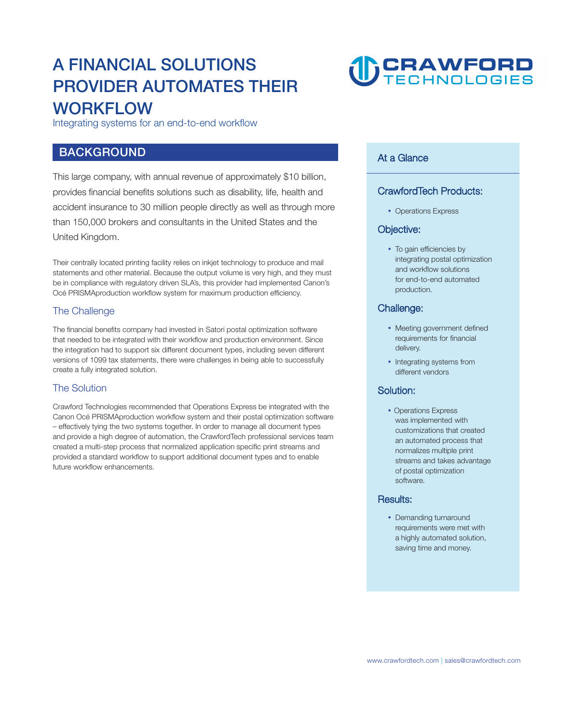### **A FINANCIAL SOLUTIONS PROVIDER AUTOMATES THEIR WORKFLOW**

**Integrating systems for an end-to-end workflow** 

#### **BACKGROUND**

**This large company, with annual revenue of approximately \$10 billion, provides financial benefits solutions such as disability, life, health and accident insurance to 30 million people directly as well as through more than 150,000 brokers and consultants in the United States and the United Kingdom.** 

**Their centrally located printing facility relies on inkjet technology to produce and mail statements and other material. Because the output volume is very high, and they must be in compliance with regulatory driven SLA's, this provider had implemented Canon's Océ PRISMAproduction workflow system for maximum production efficiency.** 

#### **The Challenge**

**The financial benefits company had invested in Satori postal optimization software that needed to be integrated with their workflow and production environment. Since the integration had to support six different document types, including seven different versions of 1099 tax statements, there were challenges in being able to successfully create a fully integrated solution.** 

#### **The Solution**

**Crawford Technologies recommended that Operations Express be integrated with the Canon Océ PRISMAproduction workflow system and their postal optimization software – effectively tying the two systems together. In order to manage all document types and provide a high degree of automation, the CrawfordTech professional services team created a multi-step process that normalized application specific print streams and provided a standard workflow to support additional document types and to enable future workflow enhancements.**

## **U CRAWFORD**

#### **At a Glance**

#### **CrawfordTech Products:**

**Operations Express**

#### **Objective:**

 **To gain efficiencies by integrating postal optimization and workflow solutions for end-to-end automated production.**

#### **Challenge:**

- **Meeting government defined requirements for financial delivery.**
- **Integrating systems from different vendors**

#### **Solution:**

 **Operations Express was implemented with customizations that created an automated process that normalizes multiple print streams and takes advantage of postal optimization software.**

#### **Results:**

 **Demanding turnaround requirements were met with a highly automated solution, saving time and money.**